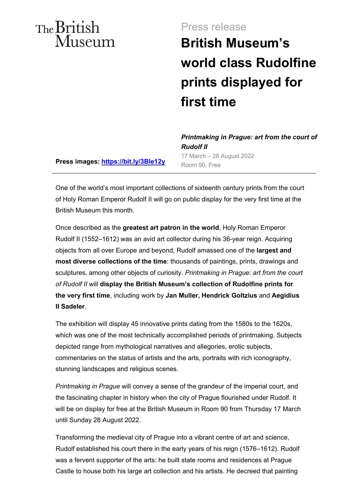## The British Museum

### Press release

# **British Museum's world class Rudolfine prints displayed for first time**

**Press images: https://bit.ly/3Ble12y** Room 90, Free

*Printmaking in Prague: art from the court of Rudolf II*  17 March – 28 August 2022

One of the world's most important collections of sixteenth century prints from the court of Holy Roman Emperor Rudolf II will go on public display for the very first time at the British Museum this month.

Once described as the **greatest art patron in the world**, Holy Roman Emperor Rudolf II (1552–1612) was an avid art collector during his 36-year reign. Acquiring objects from all over Europe and beyond, Rudolf amassed one of the **largest and most diverse collections of the time**: thousands of paintings, prints, drawings and sculptures, among other objects of curiosity. *Printmaking in Prague: art from the court of Rudolf II* will **display the British Museum's collection of Rudolfine prints for the very first time**, including work by **Jan Muller, Hendrick Goltzius** and **Aegidius II Sadeler**.

The exhibition will display 45 innovative prints dating from the 1580s to the 1620s, which was one of the most technically accomplished periods of printmaking. Subjects depicted range from mythological narratives and allegories, erotic subjects, commentaries on the status of artists and the arts, portraits with rich iconography, stunning landscapes and religious scenes.

*Printmaking in Prague* will convey a sense of the grandeur of the imperial court, and the fascinating chapter in history when the city of Prague flourished under Rudolf. It will be on display for free at the British Museum in Room 90 from Thursday 17 March until Sunday 28 August 2022.

Transforming the medieval city of Prague into a vibrant centre of art and science, Rudolf established his court there in the early years of his reign (1576–1612). Rudolf was a fervent supporter of the arts: he built state rooms and residences at Prague Castle to house both his large art collection and his artists. He decreed that painting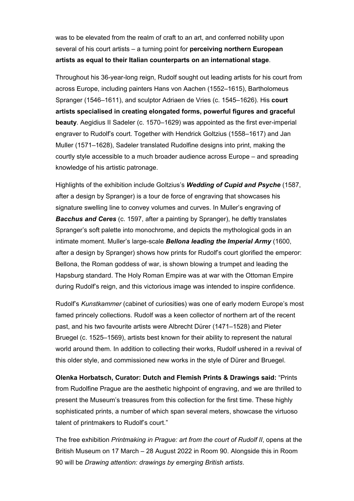was to be elevated from the realm of craft to an art, and conferred nobility upon several of his court artists – a turning point for **perceiving northern European artists as equal to their Italian counterparts on an international stage**.

Throughout his 36-year-long reign, Rudolf sought out leading artists for his court from across Europe, including painters Hans von Aachen (1552–1615), Bartholomeus Spranger (1546–1611), and sculptor Adriaen de Vries (c. 1545–1626). His **court artists specialised in creating elongated forms, powerful figures and graceful beauty**. Aegidius II Sadeler (c. 1570–1629) was appointed as the first ever-imperial engraver to Rudolf's court. Together with Hendrick Goltzius (1558–1617) and Jan Muller (1571–1628), Sadeler translated Rudolfine designs into print, making the courtly style accessible to a much broader audience across Europe – and spreading knowledge of his artistic patronage.

Highlights of the exhibition include Goltzius's *Wedding of Cupid and Psyche* (1587, after a design by Spranger) is a tour de force of engraving that showcases his signature swelling line to convey volumes and curves. In Muller's engraving of *Bacchus and Ceres* (c. 1597, after a painting by Spranger), he deftly translates Spranger's soft palette into monochrome, and depicts the mythological gods in an intimate moment. Muller's large-scale *Bellona leading the Imperial Army* (1600, after a design by Spranger) shows how prints for Rudolf's court glorified the emperor: Bellona, the Roman goddess of war, is shown blowing a trumpet and leading the Hapsburg standard. The Holy Roman Empire was at war with the Ottoman Empire during Rudolf's reign, and this victorious image was intended to inspire confidence.

Rudolf's *Kunstkammer* (cabinet of curiosities) was one of early modern Europe's most famed princely collections. Rudolf was a keen collector of northern art of the recent past, and his two favourite artists were Albrecht Dürer (1471–1528) and Pieter Bruegel (c. 1525–1569), artists best known for their ability to represent the natural world around them. In addition to collecting their works, Rudolf ushered in a revival of this older style, and commissioned new works in the style of Dürer and Bruegel.

**Olenka Horbatsch, Curator: Dutch and Flemish Prints & Drawings said:** "Prints from Rudolfine Prague are the aesthetic highpoint of engraving, and we are thrilled to present the Museum's treasures from this collection for the first time. These highly sophisticated prints, a number of which span several meters, showcase the virtuoso talent of printmakers to Rudolf's court."

The free exhibition *Printmaking in Prague: art from the court of Rudolf II*, opens at the British Museum on 17 March – 28 August 2022 in Room 90. Alongside this in Room 90 will be *Drawing attention: drawings by emerging British artists*.